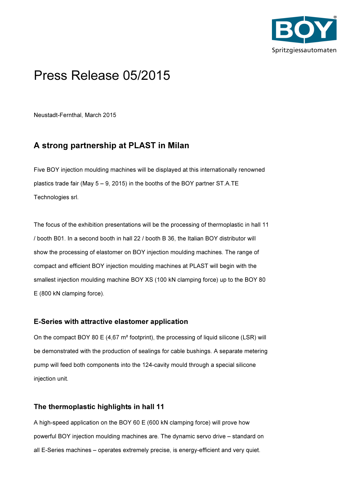

# Press Release 05/2015

Neustadt-Fernthal, March 2015

# A strong partnership at PLAST in Milan

Five BOY injection moulding machines will be displayed at this internationally renowned plastics trade fair (May 5 – 9, 2015) in the booths of the BOY partner ST.A.TE Technologies srl.

The focus of the exhibition presentations will be the processing of thermoplastic in hall 11 / booth B01. In a second booth in hall 22 / booth B 36, the Italian BOY distributor will show the processing of elastomer on BOY injection moulding machines. The range of compact and efficient BOY injection moulding machines at PLAST will begin with the smallest injection moulding machine BOY XS (100 kN clamping force) up to the BOY 80 E (800 kN clamping force).

## E-Series with attractive elastomer application

On the compact BOY 80 E (4,67 m² footprint), the processing of liquid silicone (LSR) will be demonstrated with the production of sealings for cable bushings. A separate metering pump will feed both components into the 124-cavity mould through a special silicone injection unit.

## The thermoplastic highlights in hall 11

A high-speed application on the BOY 60 E (600 kN clamping force) will prove how powerful BOY injection moulding machines are. The dynamic servo drive – standard on all E-Series machines – operates extremely precise, is energy-efficient and very quiet.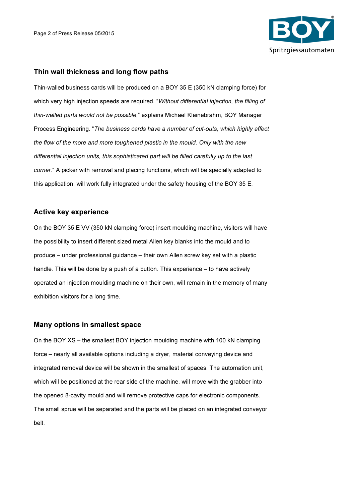

#### Thin wall thickness and long flow paths

Thin-walled business cards will be produced on a BOY 35 E (350 kN clamping force) for which very high injection speeds are required. "Without differential injection, the filling of thin-walled parts would not be possible," explains Michael Kleinebrahm, BOY Manager Process Engineering. "The business cards have a number of cut-outs, which highly affect the flow of the more and more toughened plastic in the mould. Only with the new differential injection units, this sophisticated part will be filled carefully up to the last corner." A picker with removal and placing functions, which will be specially adapted to this application, will work fully integrated under the safety housing of the BOY 35 E.

#### Active key experience

On the BOY 35 E VV (350 kN clamping force) insert moulding machine, visitors will have the possibility to insert different sized metal Allen key blanks into the mould and to produce – under professional guidance – their own Allen screw key set with a plastic handle. This will be done by a push of a button. This experience – to have actively operated an injection moulding machine on their own, will remain in the memory of many exhibition visitors for a long time.

#### Many options in smallest space

On the BOY XS – the smallest BOY injection moulding machine with 100 kN clamping force – nearly all available options including a dryer, material conveying device and integrated removal device will be shown in the smallest of spaces. The automation unit, which will be positioned at the rear side of the machine, will move with the grabber into the opened 8-cavity mould and will remove protective caps for electronic components. The small sprue will be separated and the parts will be placed on an integrated conveyor belt.